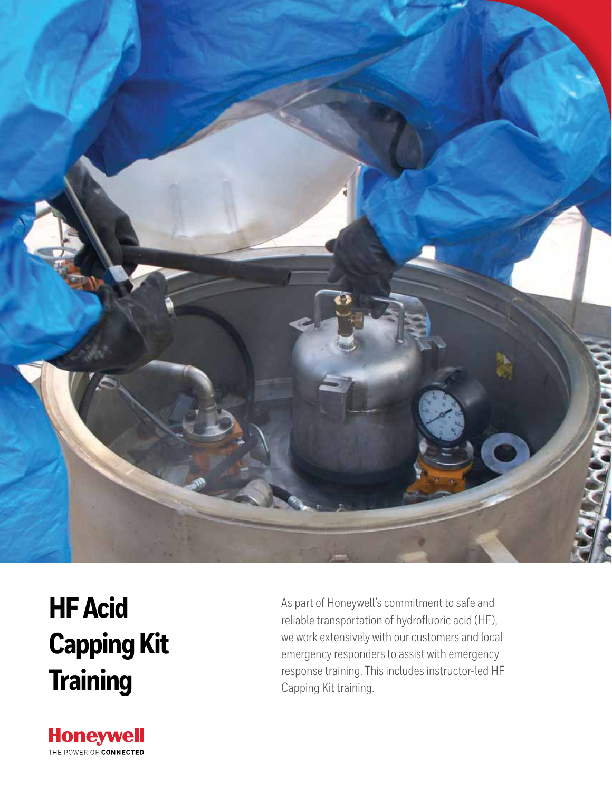

# **HF Acid Capping Kit Training**

**Honeywell** THE POWER OF CONNECTED As part of Honeywell's commitment to safe and reliable transportation of hydrofluoric acid (HF), we work extensively with our customers and local emergency responders to assist with emergency response training. This includes instructor-led HF Capping Kit training.